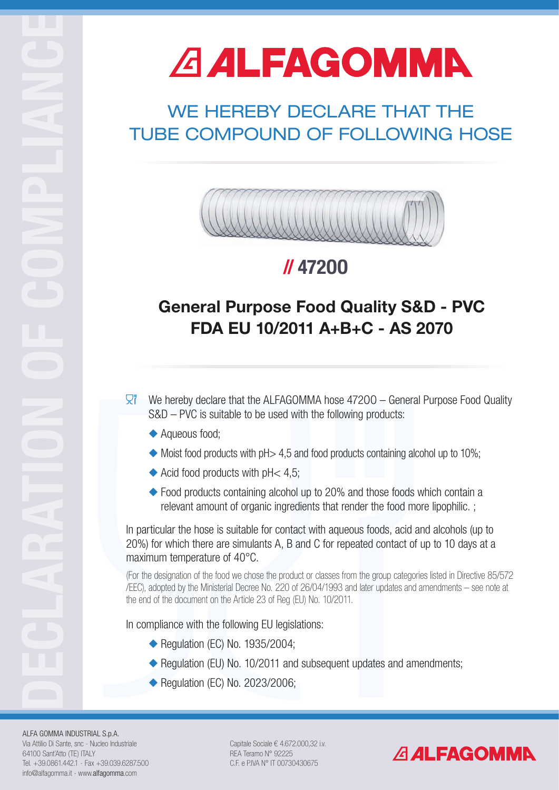# **A ALFAGOMMA**

#### ALFA GOMMA INDUSTRIAL S.p.A.

Via Attilio Di Sante, snc - Nucleo Industriale 64100 Sant'Atto (TE) ITALY Tel. +39.0861.442.1 - Fax +39.039.6287.500 info@alfagomma.it - www.alfagomma.com

Capitale Sociale  $\epsilon$  4.672.000,32 i.v. REA Teramo N° 92225 C.F. e P.IVA N° IT 00730430675



## WE HEREBY DECLARE THAT THE TUBE COMPOUND OF FOLLOWING HOSE



## General Purpose Food Quality S&D - PVC FDA EU 10/2011 A+B+C - AS 2070

- $\overline{\mathbb{R}}^n$  We hereby declare that the ALFAGOMMA hose 47200 General Purpose Food Quality S&D – PVC is suitable to be used with the following products:
	- ◆ Aqueous food;
	- $\blacklozenge$  Moist food products with pH $> 4.5$  and food products containing alcohol up to 10%;
	- $\blacklozenge$  Acid food products with pH< 4,5;
	- $\leftrightarrow$  Food products containing alcohol up to 20% and those foods which contain a relevant amount of organic ingredients that render the food more lipophilic. ;

## // 472OO

In particular the hose is suitable for contact with aqueous foods, acid and alcohols (up to 20%) for which there are simulants A, B and C for repeated contact of up to 10 days at a maximum temperature of 40°C.

(For the designation of the food we chose the product or classes from the group categories listed in Directive 85/572 /EEC), adopted by the Ministerial Decree No. 220 of 26/04/1993 and later updates and amendments – see note at the end of the document on the Article 23 of Reg (EU) No. 10/2011.

In compliance with the following EU legislations:

 $\blacklozenge$  Regulation (EC) No. 1935/2004;

Regulation (EU) No. 10/2011 and subsequent updates and amendments;  $\blacklozenge$  Regulation (EC) No. 2023/2006;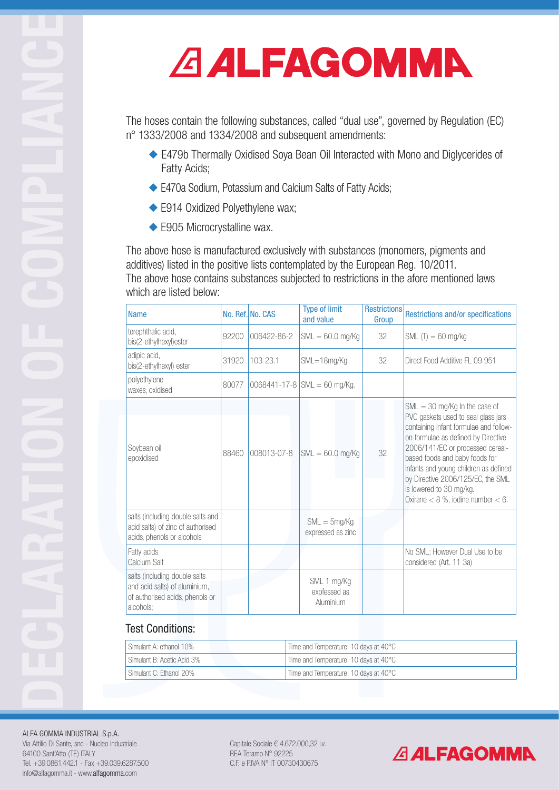#### ALFA GOMMA INDUSTRIAL S.p.A.

Via Attilio Di Sante, snc - Nucleo Industriale 64100 Sant'Atto (TE) ITALY Tel. +39.0861.442.1 - Fax +39.039.6287.500 info@alfagomma.it - www.alfagomma.com

Capitale Sociale € 4.672.000,32 i.v. REA Teramo N° 92225 C.F. e P.IVA N° IT 00730430675

### **ALFAGOMMA**

The above hose is manufactured exclusively with substances (monomers, pigments and additives) listed in the positive lists contemplated by the European Reg. 10/2011. The above hose contains substances subjected to restrictions in the afore mentioned laws which are listed below:

The hoses contain the following substances, called "dual use", governed by Regulation (EC) n° 1333/2008 and 1334/2008 and subsequent amendments:

- ◆ E479b Thermally Oxidised Soya Bean Oil Interacted with Mono and Diglycerides of Fatty Acids;
- ◆ E470a Sodium, Potassium and Calcium Salts of Fatty Acids;
- ◆ E914 Oxidized Polyethylene wax;
- $\blacklozenge$  E905 Microcrystalline wax.

| <b>Name</b>                                                                                                    |       | No. Ref. No. CAS | <b>Type of limit</b><br>and value        | <b>Restrictions</b><br>Group | <b>Restrictions and/or specifications</b>                                                                                                                                                                                                                                                                                                                                        |
|----------------------------------------------------------------------------------------------------------------|-------|------------------|------------------------------------------|------------------------------|----------------------------------------------------------------------------------------------------------------------------------------------------------------------------------------------------------------------------------------------------------------------------------------------------------------------------------------------------------------------------------|
| terephthalic acid,<br>bis(2-ethylhexyl)ester                                                                   | 92200 | 006422-86-2      | $SML = 60.0$ mg/Kg                       | 32                           | SML $(T) = 60$ mg/kg                                                                                                                                                                                                                                                                                                                                                             |
| adipic acid,<br>bis(2-ethylhexyl) ester                                                                        | 31920 | 103-23.1         | SML=18mg/Kg                              | 32                           | Direct Food Additive FL 09.951                                                                                                                                                                                                                                                                                                                                                   |
| polyethylene<br>waxes, oxidised                                                                                | 80077 |                  | 0068441-17-8 $ SML = 60$ mg/Kg.          |                              |                                                                                                                                                                                                                                                                                                                                                                                  |
| Soybean oil<br>epoxidised                                                                                      | 88460 | 008013-07-8      | $SML = 60.0$ mg/Kg                       | 32                           | $SML = 30$ mg/Kg In the case of<br>PVC gaskets used to seal glass jars<br>containing infant formulae and follow-<br>on formulae as defined by Directive<br>2006/141/EC or processed cereal-<br>based foods and baby foods for<br>infants and young children as defined<br>by Directive 2006/125/EC, the SML<br>is lowered to 30 mg/kg.<br>Oxirane $< 8$ %, iodine number $< 6$ . |
| salts (including double salts and<br>acid salts) of zinc of authorised<br>acids, phenols or alcohols           |       |                  | $SML = 5mg/Kg$<br>expressed as zinc      |                              |                                                                                                                                                                                                                                                                                                                                                                                  |
| Fatty acids<br>Calcium Salt                                                                                    |       |                  |                                          |                              | No SML; However Dual Use to be<br>considered (Art. 11 3a)                                                                                                                                                                                                                                                                                                                        |
| salts (including double salts<br>and acid salts) of aluminium,<br>of authorised acids, phenols or<br>alcohols; |       |                  | SML 1 mg/Kg<br>expfessed as<br>Aluminium |                              |                                                                                                                                                                                                                                                                                                                                                                                  |

| Simulant A: ethanol 10%    | Time and Temperature: 10 days at $40^{\circ}$ C |
|----------------------------|-------------------------------------------------|
| Simulant B: Acetic Acid 3% | Time and Temperature: 10 days at $40^{\circ}$ C |
| Simulant C: Ethanol 20%    | Time and Temperature: 10 days at 40°C           |

#### Test Conditions: